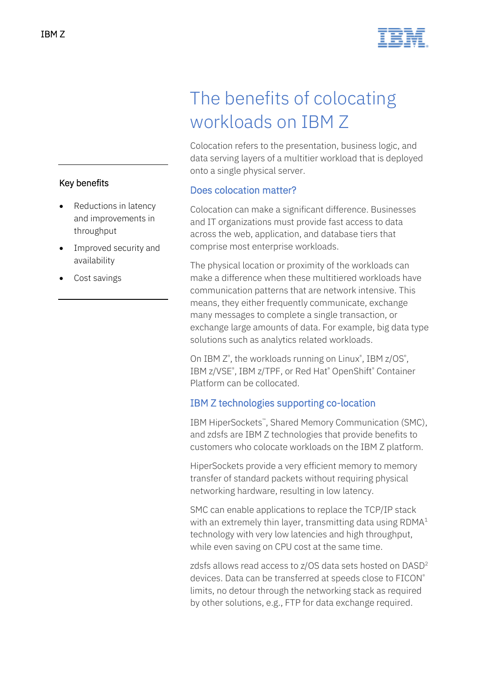



# The benefits of colocating workloads on IBM Z

Colocation refers to the presentation, business logic, and data serving layers of a multitier workload that is deployed onto a single physical server.

## Does colocation matter?

Colocation can make a significant difference. Businesses and IT organizations must provide fast access to data across the web, application, and database tiers that comprise most enterprise workloads.

The physical location or proximity of the workloads can make a difference when these multitiered workloads have communication patterns that are network intensive. This means, they either frequently communicate, exchange many messages to complete a single transaction, or exchange large amounts of data. For example, big data type solutions such as analytics related workloads.

On IBM Z<sup>®</sup>, the workloads running on Linux<sup>®</sup>, IBM z/OS<sup>®</sup>, IBM z/VSE®, IBM z/TPF, or Red Hat® OpenShift® Container Platform can be collocated.

## IBM Z technologies supporting co-location

IBM HiperSockets™, Shared Memory Communication (SMC), and zdsfs are IBM Z technologies that provide benefits to customers who colocate workloads on the IBM Z platform.

HiperSockets provide a very efficient memory to memory transfer of standard packets without requiring physical networking hardware, resulting in low latency.

SMC can enable applications to replace the TCP/IP stack with an extremely thin layer, transmitting data using RDMA<sup>1</sup> technology with very low latencies and high throughput, while even saving on CPU cost at the same time.

zdsfs allows read access to z/OS data sets hosted on DASD<sup>2</sup> devices. Data can be transferred at speeds close to FICON® limits, no detour through the networking stack as required by other solutions, e.g., FTP for data exchange required.

# Key benefits

- Reductions in latency and improvements in throughput
- Improved security and availability
- Cost savings